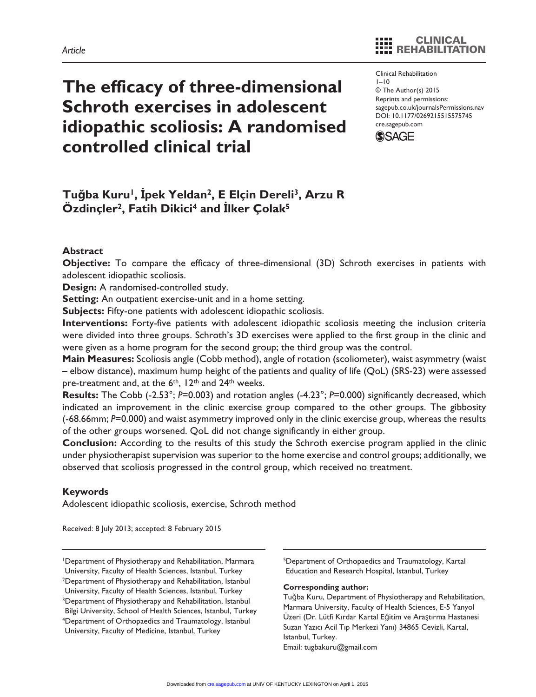# **The efficacy of three-dimensional Schroth exercises in adolescent idiopathic scoliosis: A randomised controlled clinical trial**

#### Clinical Rehabilitation  $1 - 10$ © The Author(s) 2015 Reprints and permissions: sagepub.co.uk/journalsPermissions.nav DOI: 10.1177/0269215515575745 cre.sagepub.com



# **Tuğba Kuru1, İpek Yeldan2, E Elçin Dereli3, Arzu R Özdinçler2, Fatih Dikici4 and İlker Çolak5**

## **Abstract**

**Objective:** To compare the efficacy of three-dimensional (3D) Schroth exercises in patients with adolescent idiopathic scoliosis.

**Design:** A randomised-controlled study.

**Setting:** An outpatient exercise-unit and in a home setting.

**Subjects:** Fifty-one patients with adolescent idiopathic scoliosis.

**Interventions:** Forty-five patients with adolescent idiopathic scoliosis meeting the inclusion criteria were divided into three groups. Schroth's 3D exercises were applied to the first group in the clinic and were given as a home program for the second group; the third group was the control.

**Main Measures:** Scoliosis angle (Cobb method), angle of rotation (scoliometer), waist asymmetry (waist – elbow distance), maximum hump height of the patients and quality of life (QoL) (SRS-23) were assessed pre-treatment and, at the 6<sup>th</sup>, 12<sup>th</sup> and 24<sup>th</sup> weeks.

**Results:** The Cobb (-2.53°; *P*=0.003) and rotation angles (-4.23°; *P*=0.000) significantly decreased, which indicated an improvement in the clinic exercise group compared to the other groups. The gibbosity (-68.66mm; *P*=0.000) and waist asymmetry improved only in the clinic exercise group, whereas the results of the other groups worsened. QoL did not change significantly in either group.

**Conclusion:** According to the results of this study the Schroth exercise program applied in the clinic under physiotherapist supervision was superior to the home exercise and control groups; additionally, we observed that scoliosis progressed in the control group, which received no treatment.

## **Keywords**

Adolescent idiopathic scoliosis, exercise, Schroth method

Received: 8 July 2013; accepted: 8 February 2015

1Department of Physiotherapy and Rehabilitation, Marmara University, Faculty of Health Sciences, Istanbul, Turkey 2Department of Physiotherapy and Rehabilitation, Istanbul University, Faculty of Health Sciences, Istanbul, Turkey 3Department of Physiotherapy and Rehabilitation, Istanbul Bilgi University, School of Health Sciences, Istanbul, Turkey 4Department of Orthopaedics and Traumatology, Istanbul University, Faculty of Medicine, Istanbul, Turkey

5Department of Orthopaedics and Traumatology, Kartal Education and Research Hospital, Istanbul, Turkey

#### **Corresponding author:**

Tuğba Kuru, Department of Physiotherapy and Rehabilitation, Marmara University, Faculty of Health Sciences, E-5 Yanyol Üzeri (Dr. Lütfi Kırdar Kartal Eğitim ve Araştırma Hastanesi Suzan Yazıcı Acil Tıp Merkezi Yanı) 34865 Cevizli, Kartal, Istanbul, Turkey. Email: [tugbakuru@gmail.com](mailto:tugbakuru@gmail.com)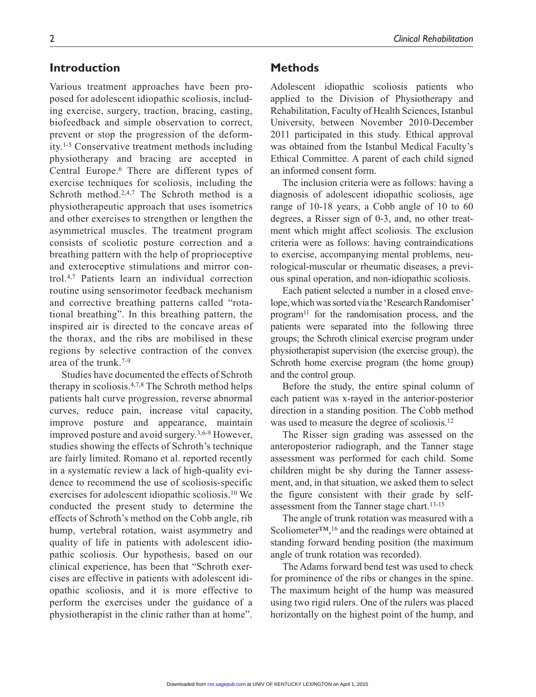# **Introduction**

Various treatment approaches have been proposed for adolescent idiopathic scoliosis, including exercise, surgery, traction, bracing, casting, biofeedback and simple observation to correct, prevent or stop the progression of the deformity.1-5 Conservative treatment methods including physiotherapy and bracing are accepted in Central Europe.6 There are different types of exercise techniques for scoliosis, including the Schroth method.<sup>2,4,7</sup> The Schroth method is a physiotherapeutic approach that uses isometrics and other exercises to strengthen or lengthen the asymmetrical muscles. The treatment program consists of scoliotic posture correction and a breathing pattern with the help of proprioceptive and exteroceptive stimulations and mirror control.4,7 Patients learn an individual correction routine using sensorimotor feedback mechanism and corrective breathing patterns called "rotational breathing". In this breathing pattern, the inspired air is directed to the concave areas of the thorax, and the ribs are mobilised in these regions by selective contraction of the convex area of the trunk.7-9

Studies have documented the effects of Schroth therapy in scoliosis.4,7,8 The Schroth method helps patients halt curve progression, reverse abnormal curves, reduce pain, increase vital capacity, improve posture and appearance, maintain improved posture and avoid surgery.3,6-9 However, studies showing the effects of Schroth's technique are fairly limited. Romano et al. reported recently in a systematic review a lack of high-quality evidence to recommend the use of scoliosis-specific exercises for adolescent idiopathic scoliosis.10 We conducted the present study to determine the effects of Schroth's method on the Cobb angle, rib hump, vertebral rotation, waist asymmetry and quality of life in patients with adolescent idiopathic scoliosis. Our hypothesis, based on our clinical experience, has been that "Schroth exercises are effective in patients with adolescent idiopathic scoliosis, and it is more effective to perform the exercises under the guidance of a physiotherapist in the clinic rather than at home".

#### **Methods**

Adolescent idiopathic scoliosis patients who applied to the Division of Physiotherapy and Rehabilitation, Faculty of Health Sciences, Istanbul University, between November 2010-December 2011 participated in this study. Ethical approval was obtained from the Istanbul Medical Faculty's Ethical Committee. A parent of each child signed an informed consent form.

The inclusion criteria were as follows: having a diagnosis of adolescent idiopathic scoliosis, age range of 10-18 years, a Cobb angle of 10 to 60 degrees, a Risser sign of 0-3, and, no other treatment which might affect scoliosis. The exclusion criteria were as follows: having contraindications to exercise, accompanying mental problems, neurological-muscular or rheumatic diseases, a previous spinal operation, and non-idiopathic scoliosis.

Each patient selected a number in a closed envelope, which was sorted via the 'Research Randomiser' program<sup>11</sup> for the randomisation process, and the patients were separated into the following three groups; the Schroth clinical exercise program under physiotherapist supervision (the exercise group), the Schroth home exercise program (the home group) and the control group.

Before the study, the entire spinal column of each patient was x-rayed in the anterior-posterior direction in a standing position. The Cobb method was used to measure the degree of scoliosis.12

The Risser sign grading was assessed on the anteroposterior radiograph, and the Tanner stage assessment was performed for each child. Some children might be shy during the Tanner assessment, and, in that situation, we asked them to select the figure consistent with their grade by selfassessment from the Tanner stage chart.13-15

The angle of trunk rotation was measured with a Scoliometer™,<sup>16</sup> and the readings were obtained at standing forward bending position (the maximum angle of trunk rotation was recorded).

The Adams forward bend test was used to check for prominence of the ribs or changes in the spine. The maximum height of the hump was measured using two rigid rulers. One of the rulers was placed horizontally on the highest point of the hump, and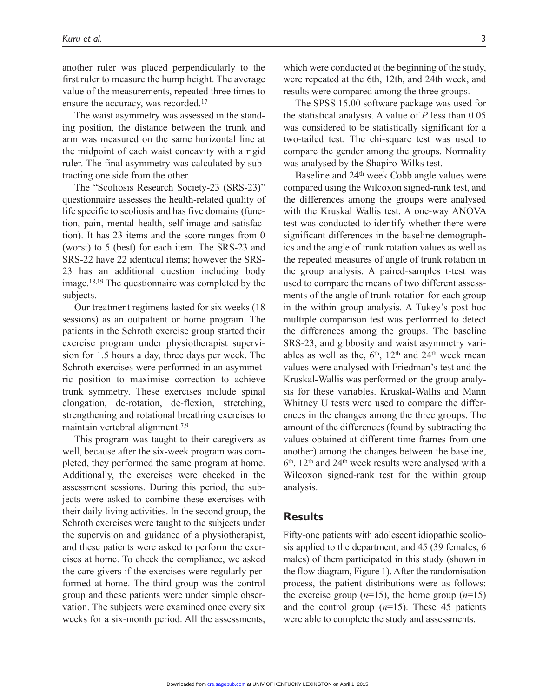another ruler was placed perpendicularly to the first ruler to measure the hump height. The average value of the measurements, repeated three times to ensure the accuracy, was recorded.<sup>17</sup>

The waist asymmetry was assessed in the standing position, the distance between the trunk and arm was measured on the same horizontal line at the midpoint of each waist concavity with a rigid ruler. The final asymmetry was calculated by subtracting one side from the other.

The "Scoliosis Research Society-23 (SRS-23)" questionnaire assesses the health-related quality of life specific to scoliosis and has five domains (function, pain, mental health, self-image and satisfaction). It has 23 items and the score ranges from 0 (worst) to 5 (best) for each item. The SRS-23 and SRS-22 have 22 identical items; however the SRS-23 has an additional question including body image.18,19 The questionnaire was completed by the subjects.

Our treatment regimens lasted for six weeks (18 sessions) as an outpatient or home program. The patients in the Schroth exercise group started their exercise program under physiotherapist supervision for 1.5 hours a day, three days per week. The Schroth exercises were performed in an asymmetric position to maximise correction to achieve trunk symmetry. These exercises include spinal elongation, de-rotation, de-flexion, stretching, strengthening and rotational breathing exercises to maintain vertebral alignment.7,9

This program was taught to their caregivers as well, because after the six-week program was completed, they performed the same program at home. Additionally, the exercises were checked in the assessment sessions. During this period, the subjects were asked to combine these exercises with their daily living activities. In the second group, the Schroth exercises were taught to the subjects under the supervision and guidance of a physiotherapist, and these patients were asked to perform the exercises at home. To check the compliance, we asked the care givers if the exercises were regularly performed at home. The third group was the control group and these patients were under simple observation. The subjects were examined once every six weeks for a six-month period. All the assessments, which were conducted at the beginning of the study, were repeated at the 6th, 12th, and 24th week, and results were compared among the three groups.

The SPSS 15.00 software package was used for the statistical analysis. A value of *P* less than 0.05 was considered to be statistically significant for a two-tailed test. The chi-square test was used to compare the gender among the groups. Normality was analysed by the Shapiro-Wilks test.

Baseline and 24th week Cobb angle values were compared using the Wilcoxon signed-rank test, and the differences among the groups were analysed with the Kruskal Wallis test. A one-way ANOVA test was conducted to identify whether there were significant differences in the baseline demographics and the angle of trunk rotation values as well as the repeated measures of angle of trunk rotation in the group analysis. A paired*-*samples t-test was used to compare the means of two different assessments of the angle of trunk rotation for each group in the within group analysis. A Tukey's post hoc multiple comparison test was performed to detect the differences among the groups. The baseline SRS-23, and gibbosity and waist asymmetry variables as well as the,  $6<sup>th</sup>$ ,  $12<sup>th</sup>$  and  $24<sup>th</sup>$  week mean values were analysed with Friedman's test and the Kruskal*-*Wallis was performed on the group analysis for these variables. Kruskal*-*Wallis and Mann Whitney U tests were used to compare the differences in the changes among the three groups. The amount of the differences (found by subtracting the values obtained at different time frames from one another) among the changes between the baseline,  $6<sup>th</sup>$ ,  $12<sup>th</sup>$  and  $24<sup>th</sup>$  week results were analysed with a Wilcoxon signed-rank test for the within group analysis.

# **Results**

Fifty-one patients with adolescent idiopathic scoliosis applied to the department, and 45 (39 females, 6 males) of them participated in this study (shown in the flow diagram, Figure 1). After the randomisation process, the patient distributions were as follows: the exercise group  $(n=15)$ , the home group  $(n=15)$ and the control group  $(n=15)$ . These 45 patients were able to complete the study and assessments.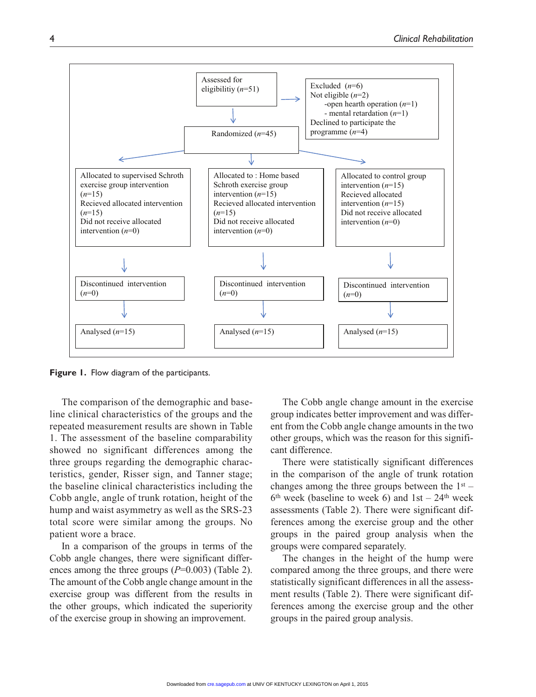

**Figure 1.** Flow diagram of the participants.

The comparison of the demographic and baseline clinical characteristics of the groups and the repeated measurement results are shown in Table 1. The assessment of the baseline comparability showed no significant differences among the three groups regarding the demographic characteristics, gender, Risser sign, and Tanner stage; the baseline clinical characteristics including the Cobb angle, angle of trunk rotation, height of the hump and waist asymmetry as well as the SRS-23 total score were similar among the groups. No patient wore a brace.

In a comparison of the groups in terms of the Cobb angle changes, there were significant differences among the three groups (*P*=0.003) (Table 2). The amount of the Cobb angle change amount in the exercise group was different from the results in the other groups, which indicated the superiority of the exercise group in showing an improvement.

The Cobb angle change amount in the exercise group indicates better improvement and was different from the Cobb angle change amounts in the two other groups, which was the reason for this significant difference.

There were statistically significant differences in the comparison of the angle of trunk rotation changes among the three groups between the  $1<sup>st</sup>$  –  $6<sup>th</sup>$  week (baseline to week 6) and  $1st - 24<sup>th</sup>$  week assessments (Table 2). There were significant differences among the exercise group and the other groups in the paired group analysis when the groups were compared separately.

The changes in the height of the hump were compared among the three groups, and there were statistically significant differences in all the assessment results (Table 2). There were significant differences among the exercise group and the other groups in the paired group analysis.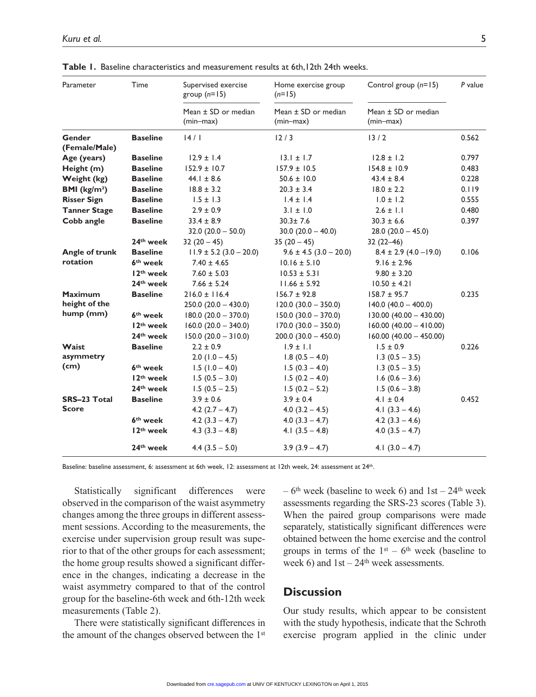| Parameter               | Time                  | Supervised exercise<br>group $(n=15)$  | Home exercise group<br>$(n=15)$        | Control group $(n=15)$                 | P value |
|-------------------------|-----------------------|----------------------------------------|----------------------------------------|----------------------------------------|---------|
|                         |                       | Mean $\pm$ SD or median<br>$(min-max)$ | Mean $\pm$ SD or median<br>$(min-max)$ | Mean $\pm$ SD or median<br>$(min-max)$ |         |
| Gender<br>(Female/Male) | <b>Baseline</b>       | 14/1                                   | 12/3                                   | 13/2                                   | 0.562   |
| Age (years)             | <b>Baseline</b>       | $12.9 \pm 1.4$                         | $13.1 \pm 1.7$                         | $12.8 \pm 1.2$                         | 0.797   |
| Height (m)              | <b>Baseline</b>       | $152.9 \pm 10.7$                       | $157.9 \pm 10.5$                       | $154.8 \pm 10.9$                       | 0.483   |
| Weight (kg)             | <b>Baseline</b>       | $44.1 \pm 8.6$                         | $50.6 \pm 10.0$                        | $43.4 \pm 8.4$                         | 0.228   |
| BMI ( $kg/m2$ )         | <b>Baseline</b>       | $18.8 \pm 3.2$                         | $20.3 \pm 3.4$                         | $18.0 \pm 2.2$                         | 0.119   |
| <b>Risser Sign</b>      | <b>Baseline</b>       | $1.5 \pm 1.3$                          | $1.4 \pm 1.4$                          | $1.0 \pm 1.2$                          | 0.555   |
| <b>Tanner Stage</b>     | <b>Baseline</b>       | $2.9 \pm 0.9$                          | $3.1 \pm 1.0$                          | $2.6 \pm 1.1$                          | 0.480   |
| Cobb angle              | <b>Baseline</b>       | $33.4 \pm 8.9$                         | $30.3 \pm 7.6$                         | $30.3 \pm 6.6$                         | 0.397   |
|                         |                       | $32.0(20.0 - 50.0)$                    | $30.0 (20.0 - 40.0)$                   | $28.0$ (20.0 - 45.0)                   |         |
|                         | 24th week             | $32(20-45)$                            | $35(20-45)$                            | $32(22 - 46)$                          |         |
| Angle of trunk          | <b>Baseline</b>       | $11.9 \pm 5.2$ (3.0 - 20.0)            | $9.6 \pm 4.5$ (3.0 - 20.0)             | $8.4 \pm 2.9$ (4.0 - 19.0)             | 0.106   |
| rotation                | 6 <sup>th</sup> week  | $7.40 \pm 4.65$                        | $10.16 \pm 5.10$                       | $9.16 \pm 2.96$                        |         |
|                         | 12 <sup>th</sup> week | $7.60 \pm 5.03$                        | $10.53 \pm 5.31$                       | $9.80 \pm 3.20$                        |         |
|                         | 24 <sup>th</sup> week | $7.66 \pm 5.24$                        | $11.66 \pm 5.92$                       | $10.50 \pm 4.21$                       |         |
| <b>Maximum</b>          | <b>Baseline</b>       | $216.0 \pm 116.4$                      | $156.7 \pm 92.8$                       | $158.7 \pm 95.7$                       | 0.235   |
| height of the           |                       | $250.0(20.0 - 430.0)$                  | $120.0$ (30.0 - 350.0)                 | $140.0$ (40.0 - 400.0)                 |         |
| hump (mm)               | 6 <sup>th</sup> week  | $180.0 (20.0 - 370.0)$                 | $150.0$ (30.0 - 370.0)                 | $130.00$ (40.00 - 430.00)              |         |
|                         | 12 <sup>th</sup> week | $160.0 (20.0 - 340.0)$                 | $170.0 (30.0 - 350.0)$                 | $160.00 (40.00 - 410.00)$              |         |
|                         | 24 <sup>th</sup> week | $150.0 (20.0 - 310.0)$                 | $200.0 (30.0 - 450.0)$                 | $160.00$ (40.00 - 450.00)              |         |
| Waist                   | <b>Baseline</b>       | $2.2 \pm 0.9$                          | $1.9 \pm 1.1$                          | $1.5 \pm 0.9$                          | 0.226   |
| asymmetry               |                       | $2.0$ (1.0 - 4.5)                      | $1.8(0.5 - 4.0)$                       | $1.3(0.5 - 3.5)$                       |         |
| (cm)                    | 6 <sup>th</sup> week  | $1.5(1.0 - 4.0)$                       | $1.5(0.3 - 4.0)$                       | $1.3(0.5 - 3.5)$                       |         |
|                         | 12 <sup>th</sup> week | $1.5(0.5 - 3.0)$                       | $1.5(0.2 - 4.0)$                       | $1.6$ (0.6 - 3.6)                      |         |
|                         | 24th week             | $1.5(0.5 - 2.5)$                       | $1.5(0.2 - 5.2)$                       | $1.5(0.6 - 3.8)$                       |         |
| SRS-23 Total            | <b>Baseline</b>       | $3.9 \pm 0.6$                          | $3.9 \pm 0.4$                          | $4.1 \pm 0.4$                          | 0.452   |
| <b>Score</b>            |                       | $4.2$ $(2.7 - 4.7)$                    | $4.0$ $(3.2 - 4.5)$                    | 4.1 $(3.3 - 4.6)$                      |         |
|                         | 6 <sup>th</sup> week  | $4.2$ (3.3 – 4.7)                      | $4.0$ (3.3 – 4.7)                      | 4.2 $(3.3 - 4.6)$                      |         |
|                         | 12 <sup>th</sup> week | $4.3(3.3 - 4.8)$                       | 4.1 $(3.5 - 4.8)$                      | $4.0(3.5 - 4.7)$                       |         |
|                         | 24 <sup>th</sup> week | $4.4(3.5 - 5.0)$                       | $3.9(3.9 - 4.7)$                       | 4.1 $(3.0 - 4.7)$                      |         |

**Table 1.** Baseline characteristics and measurement results at 6th,12th 24th weeks.

Baseline: baseline assessment, 6: assessment at 6th week, 12: assessment at 12th week, 24: assessment at 24th.

Statistically significant differences were observed in the comparison of the waist asymmetry changes among the three groups in different assessment sessions. According to the measurements, the exercise under supervision group result was superior to that of the other groups for each assessment; the home group results showed a significant difference in the changes, indicating a decrease in the waist asymmetry compared to that of the control group for the baseline-6th week and 6th-12th week measurements (Table 2).

There were statistically significant differences in the amount of the changes observed between the 1<sup>st</sup>  $-6$ <sup>th</sup> week (baseline to week 6) and 1st – 24<sup>th</sup> week assessments regarding the SRS-23 scores (Table 3). When the paired group comparisons were made separately, statistically significant differences were obtained between the home exercise and the control groups in terms of the  $1<sup>st</sup> - 6<sup>th</sup>$  week (baseline to week 6) and  $1st - 24<sup>th</sup>$  week assessments.

# **Discussion**

Our study results, which appear to be consistent with the study hypothesis, indicate that the Schroth exercise program applied in the clinic under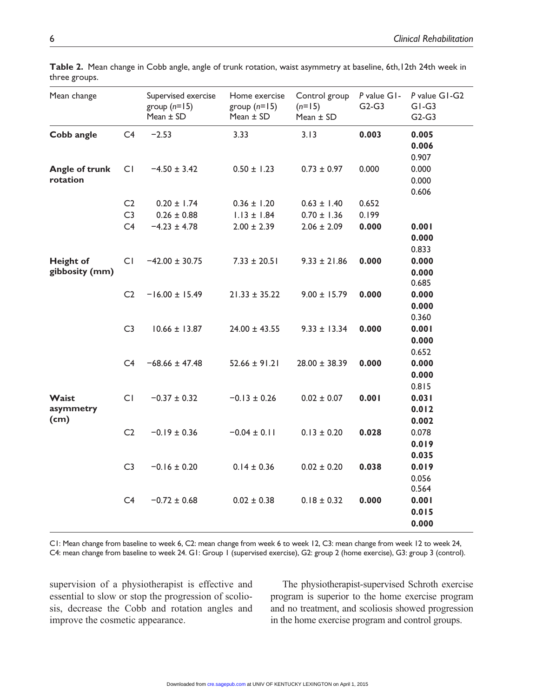| Downloaded from cre.sagepub.com at UNIV OF KENTUCKY LEXINGTON on April 1, 2015 |
|--------------------------------------------------------------------------------|

**Table 2.** Mean change in Cobb angle, angle of trunk rotation, waist asymmetry at baseline, 6th,12th 24th week in three groups.

| Mean change                        |                | Supervised exercise<br>group $(n=15)$<br>Mean $\pm$ SD | Home exercise<br>group $(n=15)$<br>Mean $\pm$ SD | Control group<br>$(n=15)$<br>Mean ± SD | P value G1-<br>$G2-G3$ | P value GI-G2<br>$GI-G3$<br>$G2-G3$ |
|------------------------------------|----------------|--------------------------------------------------------|--------------------------------------------------|----------------------------------------|------------------------|-------------------------------------|
| Cobb angle                         | C <sub>4</sub> | $-2.53$                                                | 3.33                                             | 3.13                                   | 0.003                  | 0.005<br>0.006<br>0.907             |
| Angle of trunk<br>rotation         | CI             | $-4.50 \pm 3.42$                                       | $0.50 \pm 1.23$                                  | $0.73 \pm 0.97$                        | 0.000                  | 0.000<br>0.000<br>0.606             |
|                                    | C <sub>2</sub> | $0.20 \pm 1.74$                                        | $0.36 \pm 1.20$                                  | $0.63 \pm 1.40$                        | 0.652                  |                                     |
|                                    | C <sub>3</sub> | $0.26 \pm 0.88$                                        | $1.13 \pm 1.84$                                  | $0.70 \pm 1.36$                        | 0.199                  |                                     |
|                                    | C4             | $-4.23 \pm 4.78$                                       | $2.00 \pm 2.39$                                  | $2.06 \pm 2.09$                        | 0.000                  | 0.001<br>0.000<br>0.833             |
| <b>Height of</b><br>gibbosity (mm) | CI             | $-42.00 \pm 30.75$                                     | $7.33 \pm 20.51$                                 | $9.33 \pm 21.86$                       | 0.000                  | 0.000<br>0.000<br>0.685             |
|                                    | C2             | $-16.00 \pm 15.49$                                     | $21.33 \pm 35.22$                                | $9.00 \pm 15.79$                       | 0.000                  | 0.000<br>0.000<br>0.360             |
|                                    | C <sub>3</sub> | $10.66 \pm 13.87$                                      | $24.00 \pm 43.55$                                | $9.33 \pm 13.34$                       | 0.000                  | 0.001<br>0.000<br>0.652             |
|                                    | C4             | $-68.66 \pm 47.48$                                     | $52.66 \pm 91.21$                                | $28.00 \pm 38.39$                      | 0.000                  | 0.000<br>0.000<br>0.815             |
| Waist<br>asymmetry<br>(cm)         | CI             | $-0.37 \pm 0.32$                                       | $-0.13 \pm 0.26$                                 | $0.02 \pm 0.07$                        | 0.001                  | 0.031<br>0.012<br>0.002             |
|                                    | C <sub>2</sub> | $-0.19 \pm 0.36$                                       | $-0.04 \pm 0.11$                                 | $0.13 \pm 0.20$                        | 0.028                  | 0.078<br>0.019<br>0.035             |
|                                    | C <sub>3</sub> | $-0.16 \pm 0.20$                                       | $0.14 \pm 0.36$                                  | $0.02 \pm 0.20$                        | 0.038                  | 0.019<br>0.056<br>0.564             |
|                                    | C4             | $-0.72 \pm 0.68$                                       | $0.02 \pm 0.38$                                  | $0.18 \pm 0.32$                        | 0.000                  | 0.001<br>0.015<br>0.000             |

C1: Mean change from baseline to week 6, C2: mean change from week 6 to week 12, C3: mean change from week 12 to week 24, C4: mean change from baseline to week 24. G1: Group 1 (supervised exercise), G2: group 2 (home exercise), G3: group 3 (control).

supervision of a physiotherapist is effective and essential to slow or stop the progression of scoliosis, decrease the Cobb and rotation angles and improve the cosmetic appearance.

The physiotherapist-supervised Schroth exercise program is superior to the home exercise program and no treatment, and scoliosis showed progression in the home exercise program and control groups.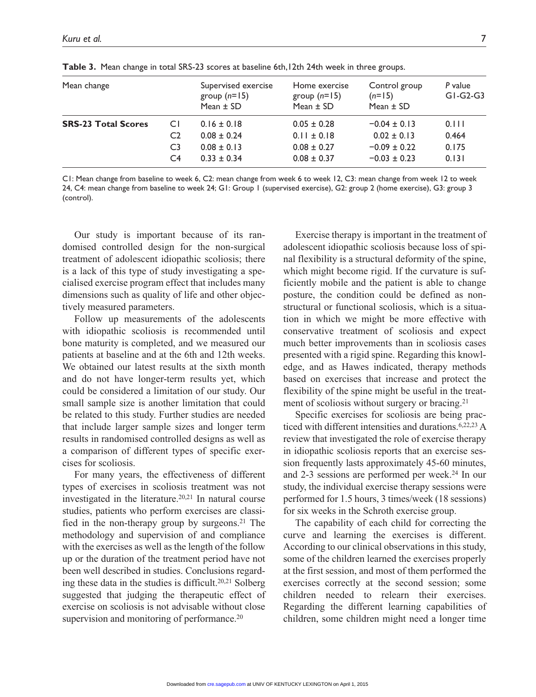| Mean change                |                      | Supervised exercise<br>group $(n=15)$<br>Mean $\pm$ SD | Home exercise<br>group $(n=15)$<br>Mean $\pm$ SD | Control group<br>$(n=15)$<br>Mean $\pm$ SD | P value<br>$GI-G2-G3$ |
|----------------------------|----------------------|--------------------------------------------------------|--------------------------------------------------|--------------------------------------------|-----------------------|
| <b>SRS-23 Total Scores</b> | СI                   | $0.16 \pm 0.18$                                        | $0.05 \pm 0.28$                                  | $-0.04 \pm 0.13$                           | 0.111                 |
|                            | C <sub>2</sub>       | $0.08 \pm 0.24$                                        | $0.11 \pm 0.18$                                  | $0.02 \pm 0.13$                            | 0.464                 |
|                            | C <sub>3</sub><br>C4 | $0.08 \pm 0.13$<br>$0.33 \pm 0.34$                     | $0.08 \pm 0.27$<br>$0.08 \pm 0.37$               | $-0.09 \pm 0.22$<br>$-0.03 \pm 0.23$       | 0.175<br>0.131        |
|                            |                      |                                                        |                                                  |                                            |                       |

**Table 3.** Mean change in total SRS-23 scores at baseline 6th,12th 24th week in three groups.

C1: Mean change from baseline to week 6, C2: mean change from week 6 to week 12, C3: mean change from week 12 to week 24, C4: mean change from baseline to week 24; G1: Group 1 (supervised exercise), G2: group 2 (home exercise), G3: group 3 (control).

Our study is important because of its randomised controlled design for the non-surgical treatment of adolescent idiopathic scoliosis; there is a lack of this type of study investigating a specialised exercise program effect that includes many dimensions such as quality of life and other objectively measured parameters.

Follow up measurements of the adolescents with idiopathic scoliosis is recommended until bone maturity is completed, and we measured our patients at baseline and at the 6th and 12th weeks. We obtained our latest results at the sixth month and do not have longer-term results yet, which could be considered a limitation of our study. Our small sample size is another limitation that could be related to this study. Further studies are needed that include larger sample sizes and longer term results in randomised controlled designs as well as a comparison of different types of specific exercises for scoliosis.

For many years, the effectiveness of different types of exercises in scoliosis treatment was not investigated in the literature.<sup>20,21</sup> In natural course studies, patients who perform exercises are classified in the non-therapy group by surgeons.21 The methodology and supervision of and compliance with the exercises as well as the length of the follow up or the duration of the treatment period have not been well described in studies. Conclusions regarding these data in the studies is difficult.20,21 Solberg suggested that judging the therapeutic effect of exercise on scoliosis is not advisable without close supervision and monitoring of performance.<sup>20</sup>

Exercise therapy is important in the treatment of adolescent idiopathic scoliosis because loss of spinal flexibility is a structural deformity of the spine, which might become rigid. If the curvature is sufficiently mobile and the patient is able to change posture, the condition could be defined as nonstructural or functional scoliosis, which is a situation in which we might be more effective with conservative treatment of scoliosis and expect much better improvements than in scoliosis cases presented with a rigid spine. Regarding this knowledge, and as Hawes indicated, therapy methods based on exercises that increase and protect the flexibility of the spine might be useful in the treatment of scoliosis without surgery or bracing.<sup>21</sup>

Specific exercises for scoliosis are being practiced with different intensities and durations.<sup>6,22,23</sup> A review that investigated the role of exercise therapy in idiopathic scoliosis reports that an exercise session frequently lasts approximately 45-60 minutes, and 2-3 sessions are performed per week.<sup>24</sup> In our study, the individual exercise therapy sessions were performed for 1.5 hours, 3 times/week (18 sessions) for six weeks in the Schroth exercise group.

The capability of each child for correcting the curve and learning the exercises is different. According to our clinical observations in this study, some of the children learned the exercises properly at the first session, and most of them performed the exercises correctly at the second session; some children needed to relearn their exercises. Regarding the different learning capabilities of children, some children might need a longer time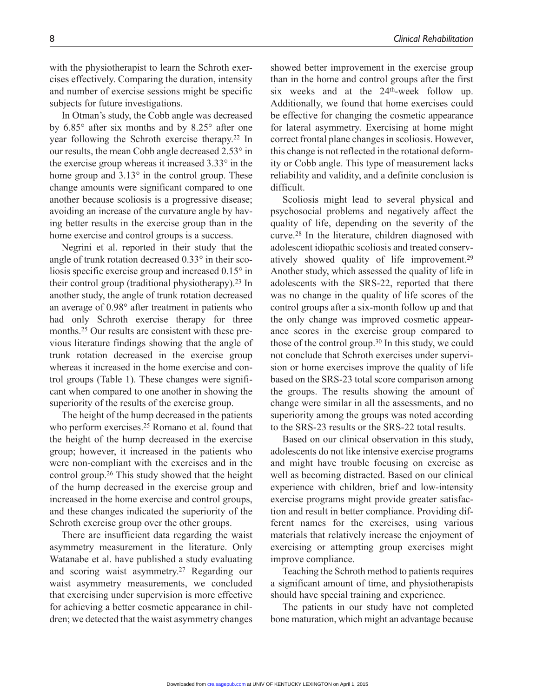with the physiotherapist to learn the Schroth exercises effectively. Comparing the duration, intensity and number of exercise sessions might be specific subjects for future investigations.

In Otman's study, the Cobb angle was decreased by 6.85° after six months and by 8.25° after one year following the Schroth exercise therapy.22 In our results, the mean Cobb angle decreased 2.53° in the exercise group whereas it increased 3.33° in the home group and 3.13° in the control group. These change amounts were significant compared to one another because scoliosis is a progressive disease; avoiding an increase of the curvature angle by having better results in the exercise group than in the home exercise and control groups is a success.

Negrini et al. reported in their study that the angle of trunk rotation decreased 0.33° in their scoliosis specific exercise group and increased 0.15° in their control group (traditional physiotherapy).23 In another study, the angle of trunk rotation decreased an average of 0.98° after treatment in patients who had only Schroth exercise therapy for three months.<sup>25</sup> Our results are consistent with these previous literature findings showing that the angle of trunk rotation decreased in the exercise group whereas it increased in the home exercise and control groups (Table 1). These changes were significant when compared to one another in showing the superiority of the results of the exercise group.

The height of the hump decreased in the patients who perform exercises.25 Romano et al. found that the height of the hump decreased in the exercise group; however, it increased in the patients who were non-compliant with the exercises and in the control group.26 This study showed that the height of the hump decreased in the exercise group and increased in the home exercise and control groups, and these changes indicated the superiority of the Schroth exercise group over the other groups.

There are insufficient data regarding the waist asymmetry measurement in the literature. Only Watanabe et al. have published a study evaluating and scoring waist asymmetry.27 Regarding our waist asymmetry measurements, we concluded that exercising under supervision is more effective for achieving a better cosmetic appearance in children; we detected that the waist asymmetry changes showed better improvement in the exercise group than in the home and control groups after the first six weeks and at the  $24<sup>th</sup>$ -week follow up. Additionally, we found that home exercises could be effective for changing the cosmetic appearance for lateral asymmetry. Exercising at home might correct frontal plane changes in scoliosis. However, this change is not reflected in the rotational deformity or Cobb angle. This type of measurement lacks reliability and validity, and a definite conclusion is difficult.

Scoliosis might lead to several physical and psychosocial problems and negatively affect the quality of life, depending on the severity of the curve.28 In the literature, children diagnosed with adolescent idiopathic scoliosis and treated conservatively showed quality of life improvement.29 Another study, which assessed the quality of life in adolescents with the SRS-22, reported that there was no change in the quality of life scores of the control groups after a six-month follow up and that the only change was improved cosmetic appearance scores in the exercise group compared to those of the control group.<sup>30</sup> In this study, we could not conclude that Schroth exercises under supervision or home exercises improve the quality of life based on the SRS-23 total score comparison among the groups. The results showing the amount of change were similar in all the assessments, and no superiority among the groups was noted according to the SRS-23 results or the SRS-22 total results.

Based on our clinical observation in this study, adolescents do not like intensive exercise programs and might have trouble focusing on exercise as well as becoming distracted. Based on our clinical experience with children, brief and low-intensity exercise programs might provide greater satisfaction and result in better compliance. Providing different names for the exercises, using various materials that relatively increase the enjoyment of exercising or attempting group exercises might improve compliance.

Teaching the Schroth method to patients requires a significant amount of time, and physiotherapists should have special training and experience.

The patients in our study have not completed bone maturation, which might an advantage because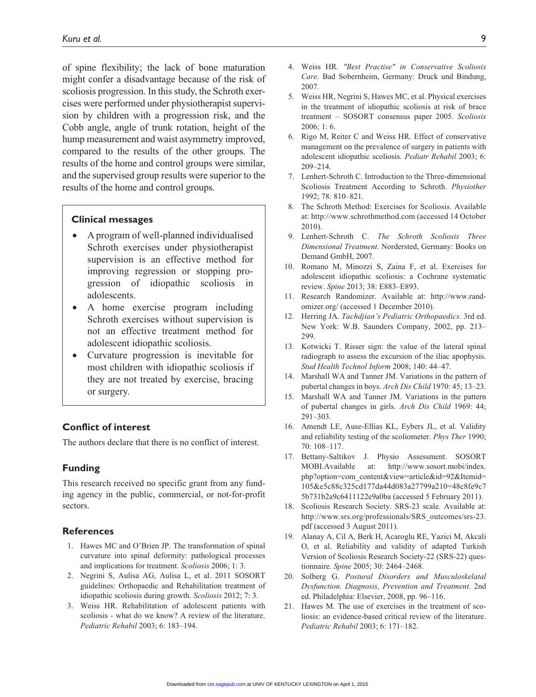of spine flexibility; the lack of bone maturation might confer a disadvantage because of the risk of scoliosis progression. In this study, the Schroth exercises were performed under physiotherapist supervision by children with a progression risk, and the Cobb angle, angle of trunk rotation, height of the hump measurement and waist asymmetry improved, compared to the results of the other groups. The results of the home and control groups were similar, and the supervised group results were superior to the results of the home and control groups.

#### **Clinical messages**

- •• A program of well-planned individualised Schroth exercises under physiotherapist supervision is an effective method for improving regression or stopping progression of idiopathic scoliosis in adolescents.
- A home exercise program including Schroth exercises without supervision is not an effective treatment method for adolescent idiopathic scoliosis.
- Curvature progression is inevitable for most children with idiopathic scoliosis if they are not treated by exercise, bracing or surgery.

#### **Conflict of interest**

The authors declare that there is no conflict of interest.

#### **Funding**

This research received no specific grant from any funding agency in the public, commercial, or not-for-profit sectors.

#### **References**

- 1. Hawes MC and O'Brien JP. The transformation of spinal curvature into spinal deformity: pathological processes and implications for treatment. *Scoliosis* 2006; 1: 3.
- 2. Negrini S, Aulisa AG, Aulisa L, et al. 2011 SOSORT guidelines: Orthopaedic and Rehabilitation treatment of idiopathic scoliosis during growth. *Scoliosis* 2012; 7: 3.
- 3. Weiss HR. Rehabilitation of adolescent patients with scoliosis - what do we know? A review of the literature. *Pediatric Rehabil* 2003; 6: 183–194.
- 4. Weiss HR. *"Best Practise" in Conservative Scoliosis Care*. Bad Sobernheim, Germany: Druck und Bindung, 2007.
- 5. Weiss HR, Negrini S, Hawes MC, et al. Physical exercises in the treatment of idiopathic scoliosis at risk of brace treatment – SOSORT consensus paper 2005. *Scoliosis* 2006; 1: 6.
- 6. Rigo M, Reiter C and Weiss HR. Effect of conservative management on the prevalence of surgery in patients with adolescent idiopathic scoliosis. *Pediatr Rehabil* 2003; 6: 209–214.
- 7. Lenhert-Schroth C. Introduction to the Three-dimensional Scoliosis Treatment According to Schroth. *Physiother* 1992; 78: 810–821.
- 8. The Schroth Method: Exercises for Scoliosis. Available at:<http://www.schrothmethod.com> (accessed 14 October 2010).
- 9. Lenhert-Schroth C. *The Schroth Scoliosis Three Dimensional Treatment*. Nordersted, Germany: Books on Demand GmbH, 2007.
- 10. Romano M, Minozzi S, Zaina F, et al. Exercises for adolescent idiopathic scoliosis: a Cochrane systematic review. *Spine* 2013; 38: E883–E893.
- 11. Research Randomizer. Available at: [http://www.rand](http://www.randomizer.org/)[omizer.org/](http://www.randomizer.org/) (accessed 1 December 2010).
- 12. Herring JA. *Tachdjian's Pediatric Orthopaedics*. 3rd ed. New York: W.B. Saunders Company, 2002, pp. 213– 299.
- 13. Kotwicki T. Risser sign: the value of the lateral spinal radiograph to assess the excursion of the iliac apophysis. *Stud Health Technol Inform* 2008; 140: 44–47.
- 14. Marshall WA and Tanner JM. Variations in the pattern of pubertal changes in boys. *Arch Dis Child* 1970: 45; 13–23.
- 15. Marshall WA and Tanner JM. Variations in the pattern of pubertal changes in girls. *Arch Dis Child* 1969: 44; 291–303.
- 16. Amendt LE, Ause-Ellias KL, Eybers JL, et al. Validity and reliability testing of the scoliometer. *Phys Ther* 1990; 70: 108–117.
- 17. Bettany-Saltikov J. Physio Assessment. SOSORT MOBI.Available at: [http://www.sosort.mobi/index.](http://www.sosort.mobi/index.php?option=com_content&view=article&id=92&Itemid=105&e5c88c325cd177da44d083a27799a210=48c8fe9c75b731b2a9c6411122e9a0ba) [php?option=com\\_content&view=article&id=92&Itemid=](http://www.sosort.mobi/index.php?option=com_content&view=article&id=92&Itemid=105&e5c88c325cd177da44d083a27799a210=48c8fe9c75b731b2a9c6411122e9a0ba) [105&e5c88c325cd177da44d083a27799a210=48c8fe9c7](http://www.sosort.mobi/index.php?option=com_content&view=article&id=92&Itemid=105&e5c88c325cd177da44d083a27799a210=48c8fe9c75b731b2a9c6411122e9a0ba) [5b731b2a9c6411122e9a0ba](http://www.sosort.mobi/index.php?option=com_content&view=article&id=92&Itemid=105&e5c88c325cd177da44d083a27799a210=48c8fe9c75b731b2a9c6411122e9a0ba) (accessed 5 February 2011).
- 18. Scoliosis Research Society. SRS-23 scale. Available at: [http://www.srs.org/professionals/SRS\\_outcomes/srs-23.](http://www.srs.org/professionals/SRS_outcomes/srs-23.pdf) [pdf](http://www.srs.org/professionals/SRS_outcomes/srs-23.pdf) (accessed 3 August 2011).
- 19. Alanay A, Cil A, Berk H, Acaroglu RE, Yazici M, Akcali O, et al. Reliability and validity of adapted Turkish Version of Scoliosis Research Society-22 (SRS-22) questionnaire. *Spine* 2005; 30: 2464–2468.
- 20. Solberg G. *Postural Disorders and Musculoskelatal Dysfunction. Diagnosis, Prevention and Treatment*. 2nd ed. Philadelphia: Elsevier, 2008, pp. 96–116.
- 21. Hawes M. The use of exercises in the treatment of scoliosis: an evidence-based critical review of the literature. *Pediatric Rehabil* 2003; 6: 171–182.